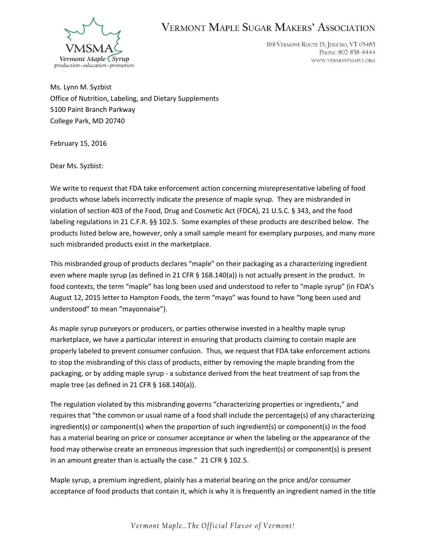

## **VERMONT MAPLE SUGAR MAKERS' ASSOCIATION**

189 VERMONT ROUTE 15, JERICHO, VT 05465 PHONE: 802-858-9444 WWW.VERMONTMAPLE.ORG

Ms. Lynn M. Syzbist Office of Nutrition, Labeling, and Dietary Supplements 5100 Paint Branch Parkway College Park, MD 20740

February 15, 2016

Dear Ms. Syzbist:

We write to request that FDA take enforcement action concerning misrepresentative labeling of food products whose labels incorrectly indicate the presence of maple syrup. They are misbranded in violation of section 403 of the Food, Drug and Cosmetic Act (FDCA), 21 U.S.C. § 343, and the food labeling regulations in 21 C.F.R. §§ 102.5. Some examples of these products are described below. The products listed below are, however, only a small sample meant for exemplary purposes, and many more such misbranded products exist in the marketplace.

This misbranded group of products declares "maple" on their packaging as a characterizing ingredient even where maple syrup (as defined in 21 CFR § 168.140(a)) is not actually present in the product. In food contexts, the term "maple" has long been used and understood to refer to "maple syrup" (in FDA's August 12, 2015 letter to Hampton Foods, the term "mayo" was found to have "long been used and understood" to mean "mayonnaise").

As maple syrup purveyors or producers, or parties otherwise invested in a healthy maple syrup marketplace, we have a particular interest in ensuring that products claiming to contain maple are properly labeled to prevent consumer confusion. Thus, we request that FDA take enforcement actions to stop the misbranding of this class of products, either by removing the maple branding from the packaging, or by adding maple syrup - a substance derived from the heat treatment of sap from the maple tree (as defined in 21 CFR  $\S$  168.140(a)).

The regulation violated by this misbranding governs "characterizing properties or ingredients," and requires that "the common or usual name of a food shall include the percentage(s) of any characterizing ingredient(s) or component(s) when the proportion of such ingredient(s) or component(s) in the food has a material bearing on price or consumer acceptance or when the labeling or the appearance of the food may otherwise create an erroneous impression that such ingredient(s) or component(s) is present in an amount greater than is actually the case." 21 CFR § 102.5.

Maple syrup, a premium ingredient, plainly has a material bearing on the price and/or consumer acceptance of food products that contain it, which is why it is frequently an ingredient named in the title

*Vermont Maple...The Official Flavor of Vermont!*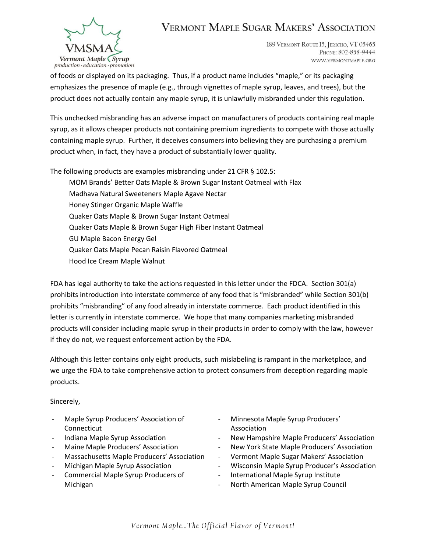

## **VERMONT MAPLE SUGAR MAKERS' ASSOCIATION**

189 VERMONT ROUTE 15, JERICHO, VT 05465 PHONE: 802-858-9444 WWW.VERMONTMAPLE.ORG

of foods or displayed on its packaging. Thus, if a product name includes "maple," or its packaging emphasizes the presence of maple (e.g., through vignettes of maple syrup, leaves, and trees), but the product does not actually contain any maple syrup, it is unlawfully misbranded under this regulation.

This unchecked misbranding has an adverse impact on manufacturers of products containing real maple syrup, as it allows cheaper products not containing premium ingredients to compete with those actually containing maple syrup. Further, it deceives consumers into believing they are purchasing a premium product when, in fact, they have a product of substantially lower quality.

The following products are examples misbranding under 21 CFR § 102.5:

MOM Brands' Better Oats Maple & Brown Sugar Instant Oatmeal with Flax Madhava Natural Sweeteners Maple Agave Nectar Honey Stinger Organic Maple Waffle Quaker Oats Maple & Brown Sugar Instant Oatmeal Quaker Oats Maple & Brown Sugar High Fiber Instant Oatmeal GU Maple Bacon Energy Gel Quaker Oats Maple Pecan Raisin Flavored Oatmeal Hood Ice Cream Maple Walnut

FDA has legal authority to take the actions requested in this letter under the FDCA. Section 301(a) prohibits introduction into interstate commerce of any food that is "misbranded" while Section 301(b) prohibits "misbranding" of any food already in interstate commerce. Each product identified in this letter is currently in interstate commerce. We hope that many companies marketing misbranded products will consider including maple syrup in their products in order to comply with the law, however if they do not, we request enforcement action by the FDA.

Although this letter contains only eight products, such mislabeling is rampant in the marketplace, and we urge the FDA to take comprehensive action to protect consumers from deception regarding maple products.

Sincerely,

- Maple Syrup Producers' Association of Connecticut
- Indiana Maple Syrup Association
- Maine Maple Producers' Association
- Massachusetts Maple Producers' Association
- Michigan Maple Syrup Association
- Commercial Maple Syrup Producers of Michigan
- Minnesota Maple Syrup Producers' Association
- New Hampshire Maple Producers' Association
- New York State Maple Producers' Association
- Vermont Maple Sugar Makers' Association
- Wisconsin Maple Syrup Producer's Association
- International Maple Syrup Institute
- North American Maple Syrup Council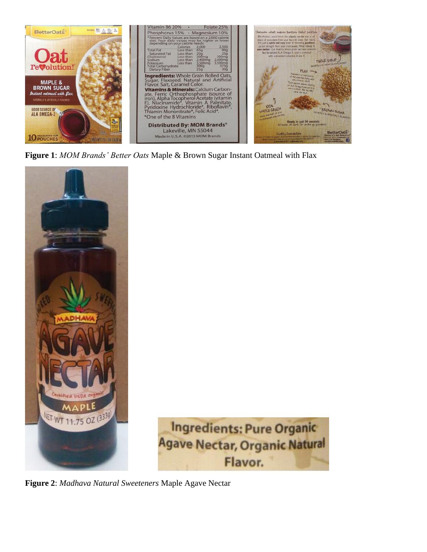

**Figure 1**: *MOM Brands' Better Oats* Maple & Brown Sugar Instant Oatmeal with Flax





**Figure 2**: *Madhava Natural Sweeteners* Maple Agave Nectar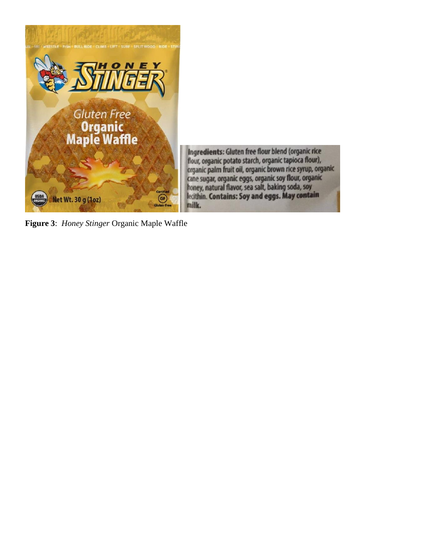

Ingredients: Gluten free flour blend (organic rice flour, organic potato starch, organic tapioca flour), organic palm fruit oil, organic brown rice syrup, organic cane sugar, organic eggs, organic soy flour, organic honey, natural flavor, sea salt, baking soda, soy<br>lecithin. Contains: Soy and eggs. May contain milk.

**Figure 3**: *Honey Stinger* Organic Maple Waffle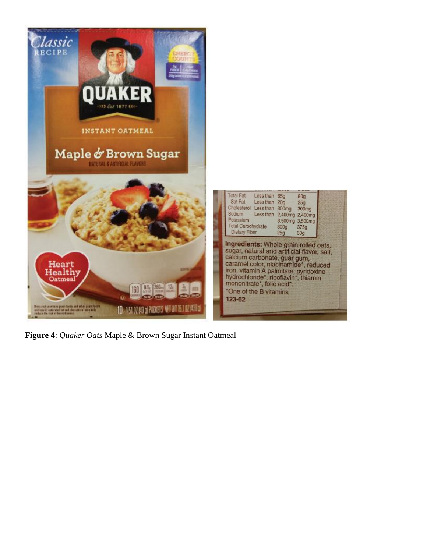

**Figure 4**: *Quaker Oats* Maple & Brown Sugar Instant Oatmeal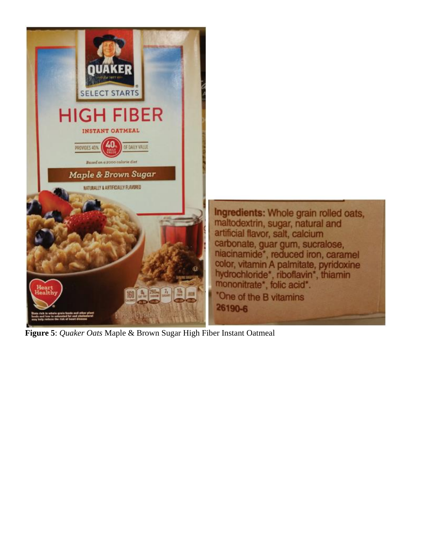

**Figure 5**: *Quaker Oats* Maple & Brown Sugar High Fiber Instant Oatmeal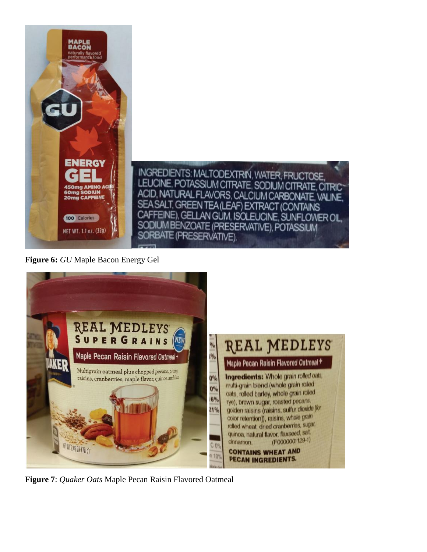

**Figure 6:** *GU* Maple Bacon Energy Gel



**Figure 7**: *Quaker Oats* Maple Pecan Raisin Flavored Oatmeal